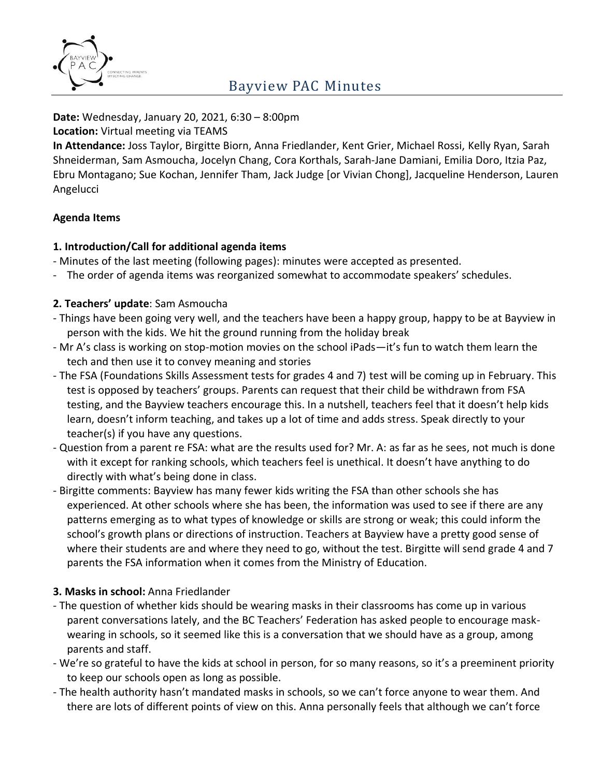

**Date:** Wednesday, January 20, 2021, 6:30 – 8:00pm

**Location:** Virtual meeting via TEAMS

**In Attendance:** Joss Taylor, Birgitte Biorn, Anna Friedlander, Kent Grier, Michael Rossi, Kelly Ryan, Sarah Shneiderman, Sam Asmoucha, Jocelyn Chang, Cora Korthals, Sarah-Jane Damiani, Emilia Doro, Itzia Paz, Ebru Montagano; Sue Kochan, Jennifer Tham, Jack Judge [or Vivian Chong], Jacqueline Henderson, Lauren Angelucci

## **Agenda Items**

## **1. Introduction/Call for additional agenda items**

- Minutes of the last meeting (following pages): minutes were accepted as presented.
- The order of agenda items was reorganized somewhat to accommodate speakers' schedules.

## **2. Teachers' update**: Sam Asmoucha

- Things have been going very well, and the teachers have been a happy group, happy to be at Bayview in person with the kids. We hit the ground running from the holiday break
- Mr A's class is working on stop-motion movies on the school iPads—it's fun to watch them learn the tech and then use it to convey meaning and stories
- The FSA (Foundations Skills Assessment tests for grades 4 and 7) test will be coming up in February. This test is opposed by teachers' groups. Parents can request that their child be withdrawn from FSA testing, and the Bayview teachers encourage this. In a nutshell, teachers feel that it doesn't help kids learn, doesn't inform teaching, and takes up a lot of time and adds stress. Speak directly to your teacher(s) if you have any questions.
- Question from a parent re FSA: what are the results used for? Mr. A: as far as he sees, not much is done with it except for ranking schools, which teachers feel is unethical. It doesn't have anything to do directly with what's being done in class.
- Birgitte comments: Bayview has many fewer kids writing the FSA than other schools she has experienced. At other schools where she has been, the information was used to see if there are any patterns emerging as to what types of knowledge or skills are strong or weak; this could inform the school's growth plans or directions of instruction. Teachers at Bayview have a pretty good sense of where their students are and where they need to go, without the test. Birgitte will send grade 4 and 7 parents the FSA information when it comes from the Ministry of Education.

#### **3. Masks in school:** Anna Friedlander

- The question of whether kids should be wearing masks in their classrooms has come up in various parent conversations lately, and the BC Teachers' Federation has asked people to encourage maskwearing in schools, so it seemed like this is a conversation that we should have as a group, among parents and staff.
- We're so grateful to have the kids at school in person, for so many reasons, so it's a preeminent priority to keep our schools open as long as possible.
- The health authority hasn't mandated masks in schools, so we can't force anyone to wear them. And there are lots of different points of view on this. Anna personally feels that although we can't force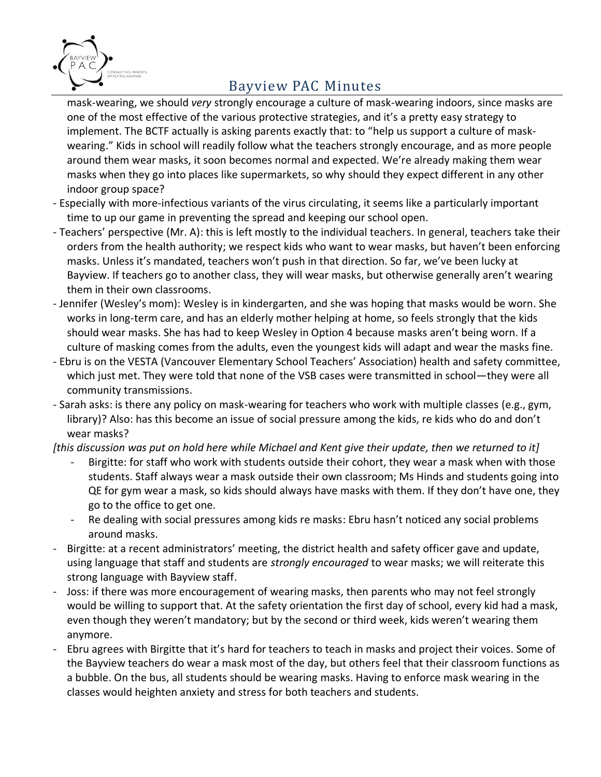

mask-wearing, we should *very* strongly encourage a culture of mask-wearing indoors, since masks are one of the most effective of the various protective strategies, and it's a pretty easy strategy to implement. The BCTF actually is asking parents exactly that: to "help us support a culture of maskwearing." Kids in school will readily follow what the teachers strongly encourage, and as more people around them wear masks, it soon becomes normal and expected. We're already making them wear masks when they go into places like supermarkets, so why should they expect different in any other indoor group space?

- Especially with more-infectious variants of the virus circulating, it seems like a particularly important time to up our game in preventing the spread and keeping our school open.
- Teachers' perspective (Mr. A): this is left mostly to the individual teachers. In general, teachers take their orders from the health authority; we respect kids who want to wear masks, but haven't been enforcing masks. Unless it's mandated, teachers won't push in that direction. So far, we've been lucky at Bayview. If teachers go to another class, they will wear masks, but otherwise generally aren't wearing them in their own classrooms.
- Jennifer (Wesley's mom): Wesley is in kindergarten, and she was hoping that masks would be worn. She works in long-term care, and has an elderly mother helping at home, so feels strongly that the kids should wear masks. She has had to keep Wesley in Option 4 because masks aren't being worn. If a culture of masking comes from the adults, even the youngest kids will adapt and wear the masks fine.
- Ebru is on the VESTA (Vancouver Elementary School Teachers' Association) health and safety committee, which just met. They were told that none of the VSB cases were transmitted in school—they were all community transmissions.
- Sarah asks: is there any policy on mask-wearing for teachers who work with multiple classes (e.g., gym, library)? Also: has this become an issue of social pressure among the kids, re kids who do and don't wear masks?
- *[this discussion was put on hold here while Michael and Kent give their update, then we returned to it]*
	- Birgitte: for staff who work with students outside their cohort, they wear a mask when with those students. Staff always wear a mask outside their own classroom; Ms Hinds and students going into QE for gym wear a mask, so kids should always have masks with them. If they don't have one, they go to the office to get one.
	- Re dealing with social pressures among kids re masks: Ebru hasn't noticed any social problems around masks.
- Birgitte: at a recent administrators' meeting, the district health and safety officer gave and update, using language that staff and students are *strongly encouraged* to wear masks; we will reiterate this strong language with Bayview staff.
- Joss: if there was more encouragement of wearing masks, then parents who may not feel strongly would be willing to support that. At the safety orientation the first day of school, every kid had a mask, even though they weren't mandatory; but by the second or third week, kids weren't wearing them anymore.
- Ebru agrees with Birgitte that it's hard for teachers to teach in masks and project their voices. Some of the Bayview teachers do wear a mask most of the day, but others feel that their classroom functions as a bubble. On the bus, all students should be wearing masks. Having to enforce mask wearing in the classes would heighten anxiety and stress for both teachers and students.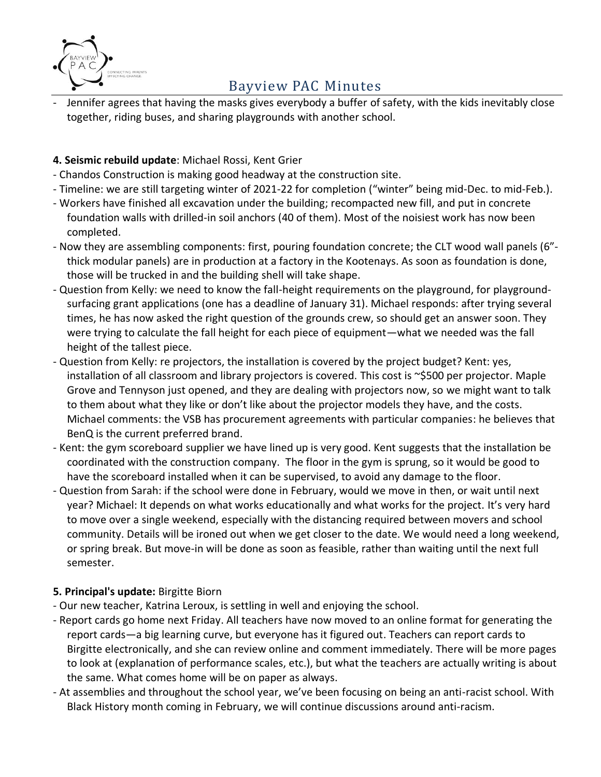

Jennifer agrees that having the masks gives everybody a buffer of safety, with the kids inevitably close together, riding buses, and sharing playgrounds with another school.

# **4. Seismic rebuild update**: Michael Rossi, Kent Grier

- Chandos Construction is making good headway at the construction site.
- Timeline: we are still targeting winter of 2021-22 for completion ("winter" being mid-Dec. to mid-Feb.).
- Workers have finished all excavation under the building; recompacted new fill, and put in concrete foundation walls with drilled-in soil anchors (40 of them). Most of the noisiest work has now been completed.
- Now they are assembling components: first, pouring foundation concrete; the CLT wood wall panels (6" thick modular panels) are in production at a factory in the Kootenays. As soon as foundation is done, those will be trucked in and the building shell will take shape.
- Question from Kelly: we need to know the fall-height requirements on the playground, for playgroundsurfacing grant applications (one has a deadline of January 31). Michael responds: after trying several times, he has now asked the right question of the grounds crew, so should get an answer soon. They were trying to calculate the fall height for each piece of equipment—what we needed was the fall height of the tallest piece.
- Question from Kelly: re projectors, the installation is covered by the project budget? Kent: yes, installation of all classroom and library projectors is covered. This cost is ~\$500 per projector. Maple Grove and Tennyson just opened, and they are dealing with projectors now, so we might want to talk to them about what they like or don't like about the projector models they have, and the costs. Michael comments: the VSB has procurement agreements with particular companies: he believes that BenQ is the current preferred brand.
- Kent: the gym scoreboard supplier we have lined up is very good. Kent suggests that the installation be coordinated with the construction company. The floor in the gym is sprung, so it would be good to have the scoreboard installed when it can be supervised, to avoid any damage to the floor.
- Question from Sarah: if the school were done in February, would we move in then, or wait until next year? Michael: It depends on what works educationally and what works for the project. It's very hard to move over a single weekend, especially with the distancing required between movers and school community. Details will be ironed out when we get closer to the date. We would need a long weekend, or spring break. But move-in will be done as soon as feasible, rather than waiting until the next full semester.

#### **5. Principal's update:** Birgitte Biorn

- Our new teacher, Katrina Leroux, is settling in well and enjoying the school.
- Report cards go home next Friday. All teachers have now moved to an online format for generating the report cards—a big learning curve, but everyone has it figured out. Teachers can report cards to Birgitte electronically, and she can review online and comment immediately. There will be more pages to look at (explanation of performance scales, etc.), but what the teachers are actually writing is about the same. What comes home will be on paper as always.
- At assemblies and throughout the school year, we've been focusing on being an anti-racist school. With Black History month coming in February, we will continue discussions around anti-racism.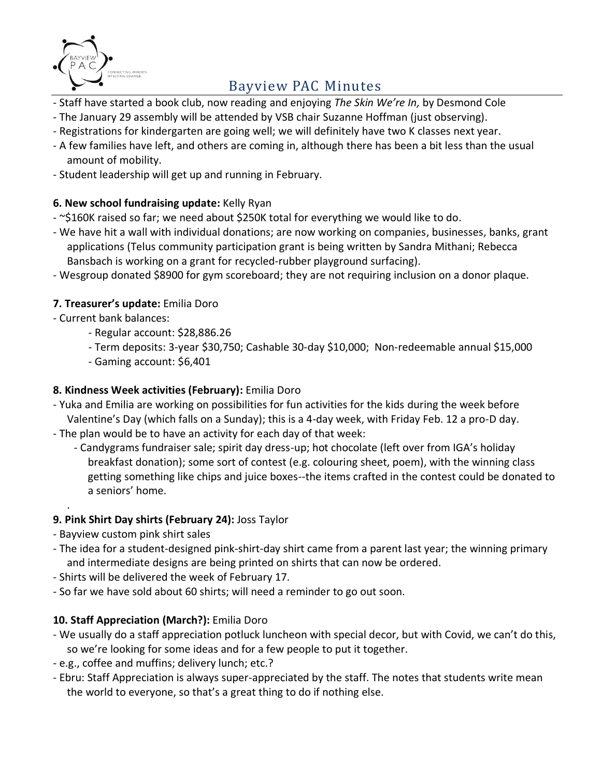

- Staff have started a book club, now reading and enjoying *The Skin We're In,* by Desmond Cole
- The January 29 assembly will be attended by VSB chair Suzanne Hoffman (just observing).
- Registrations for kindergarten are going well; we will definitely have two K classes next year.
- A few families have left, and others are coming in, although there has been a bit less than the usual amount of mobility.
- Student leadership will get up and running in February.

## **6. New school fundraising update:** Kelly Ryan

- ~\$160K raised so far; we need about \$250K total for everything we would like to do.
- We have hit a wall with individual donations; are now working on companies, businesses, banks, grant applications (Telus community participation grant is being written by Sandra Mithani; Rebecca Bansbach is working on a grant for recycled-rubber playground surfacing).
- Wesgroup donated \$8900 for gym scoreboard; they are not requiring inclusion on a donor plaque.

## **7. Treasurer's update:** Emilia Doro

- Current bank balances:
	- Regular account: \$28,886.26
	- Term deposits: 3-year \$30,750; Cashable 30-day \$10,000; Non-redeemable annual \$15,000
	- Gaming account: \$6,401

### **8. Kindness Week activities (February):** Emilia Doro

- Yuka and Emilia are working on possibilities for fun activities for the kids during the week before Valentine's Day (which falls on a Sunday); this is a 4-day week, with Friday Feb. 12 a pro-D day.
- The plan would be to have an activity for each day of that week:
	- Candygrams fundraiser sale; spirit day dress-up; hot chocolate (left over from IGA's holiday breakfast donation); some sort of contest (e.g. colouring sheet, poem), with the winning class getting something like chips and juice boxes--the items crafted in the contest could be donated to a seniors' home.

#### **9. Pink Shirt Day shirts (February 24):** Joss Taylor

- Bayview custom pink shirt sales

.

- The idea for a student-designed pink-shirt-day shirt came from a parent last year; the winning primary and intermediate designs are being printed on shirts that can now be ordered.
- Shirts will be delivered the week of February 17.
- So far we have sold about 60 shirts; will need a reminder to go out soon.

# **10. Staff Appreciation (March?):** Emilia Doro

- We usually do a staff appreciation potluck luncheon with special decor, but with Covid, we can't do this, so we're looking for some ideas and for a few people to put it together.
- e.g., coffee and muffins; delivery lunch; etc.?
- Ebru: Staff Appreciation is always super-appreciated by the staff. The notes that students write mean the world to everyone, so that's a great thing to do if nothing else.